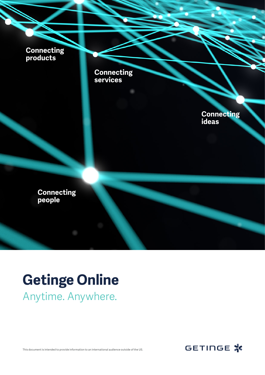**Connecting products**



**Connecting ideas**

**Connecting people** 

## **Getinge Online** Anytime. Anywhere.



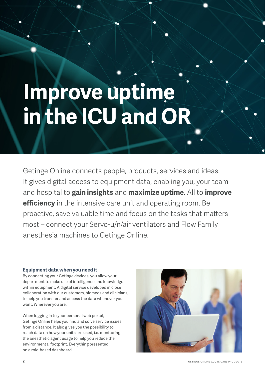# **Improve uptime in the ICU and OR**

Getinge Online connects people, products, services and ideas. It gives digital access to equipment data, enabling you, your team and hospital to **gain insights** and **maximize uptime**. All to **improve efficiency** in the intensive care unit and operating room. Be proactive, save valuable time and focus on the tasks that matters most – connect your Servo-u/n/air ventilators and Flow Family anesthesia machines to Getinge Online.

### **Equipment data when you need it**

By connecting your Getinge devices, you allow your department to make use of intelligence and knowledge within equipment. A digital service developed in close collaboration with our customers, biomeds and clinicians, to help you transfer and access the data whenever you want. Wherever you are.

When logging in to your personal web portal, Getinge Online helps you find and solve service issues from a distance. It also gives you the possibility to reach data on how your units are used, i.e. monitoring the anesthetic agent usage to help you reduce the environmental footprint. Everything presented on a role-based dashboard.

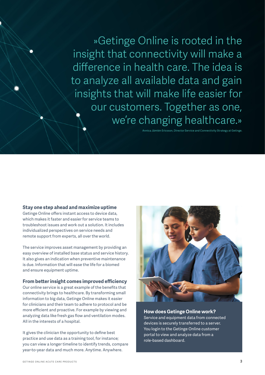»Getinge Online is rooted in the insight that connectivity will make a difference in health care. The idea is to analyze all available data and gain insights that will make life easier for our customers. Together as one, we're changing healthcare.»

Annica Jämtén Ericsson, Director Service and Connectivity Strategy at Getinge.

#### **Stay one step ahead and maximize uptime**

Getinge Online offers instant access to device data, which makes it faster and easier for service teams to troubleshoot issues and work out a solution. It includes individualized perspectives on service needs and remote support from experts, all over the world.

The service improves asset management by providing an easy overview of installed base status and service history. It also gives an indication when preventive maintenance is due. Information that will ease the life for a biomed and ensure equipment uptime.

#### **From better insight comes improved efficiency**

Our online service is a great example of the benefits that connectivity brings to healthcare. By transforming small information to big data, Getinge Online makes it easier for clinicians and their team to adhere to protocol and be more efficient and proactive. For example by viewing and analyzing data like fresh gas flow and ventilation modes. All in the interests of a hospital.

It gives the clinician the opportunity to define best practice and use data as a training tool, for instance; you can view a longer timeline to identify trends, compare year-to-year data and much more. Anytime. Anywhere.



#### **How does Getinge Online work?**

Service and equipment data from connected devices is securely transferred to a server. You login to the Getinge Online customer portal to view and analyze data from a role-based dashboard.